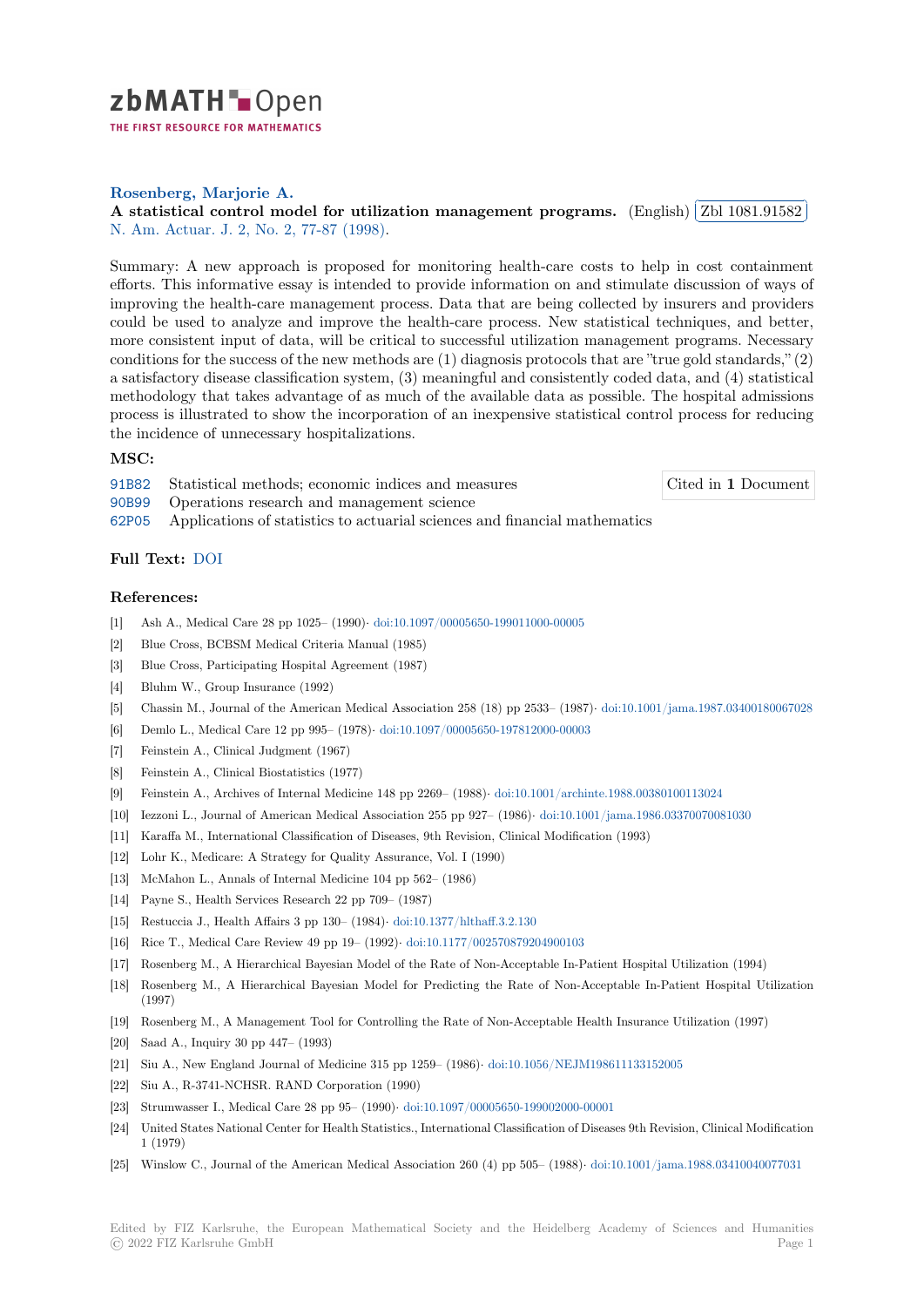

THE FIRST RESOURCE FOR MATHEMATICS

**Rosenberg, Marjorie A.**

**[A](https://zbmath.org/) statistical control model for utilization management programs.** (English) ✄ ✂ Zbl 1081.91582 ĺ. ✁ N. Am. Actuar. J. 2, No. 2, 77-87 (1998).

[Summary: A new approach](https://zbmath.org/authors/?q=ai:rosenberg.marjorie-a) is proposed for monitoring health-care costs to help in cost containment [efforts. This informative essay is intended to provide information on and st](https://zbmath.org/1081.91582)imulate dis[cussion of ways of](https://zbmath.org/1081.91582) [improving the hea](https://zbmath.org/journals/?q=se:3081)l[th-care management p](https://zbmath.org/?q=in:122454)rocess. Data that are being collected by insurers and providers could be used to analyze and improve the health-care process. New statistical techniques, and better, more consistent input of data, will be critical to successful utilization management programs. Necessary conditions for the success of the new methods are (1) diagnosis protocols that are "true gold standards," (2) a satisfactory disease classification system, (3) meaningful and consistently coded data, and (4) statistical methodology that takes advantage of as much of the available data as possible. The hospital admissions process is illustrated to show the incorporation of an inexpensive statistical control process for reducing the incidence of unnecessary hospitalizations.

## **MSC:**

91B82 Statistical methods; economic indices and measures

Cited in **1** Document

- 90B99 Operations research and management science
- 62P05 Applications of statistics to actuarial sciences and financial mathematics

## **[Full T](https://zbmath.org/classification/?q=cc:91B82)ext:** DOI

## **[Refer](https://zbmath.org/classification/?q=cc:62P05)ences:**

- [1] Ash A., Medical Care 28 pp 1025– (1990)*·* doi:10.1097/00005650-199011000-00005
- [2] Blue Cro[ss, BC](https://dx.doi.org/10.1080/10920277.1998.10595707)BSM Medical Criteria Manual (1985)
- [3] Blue Cross, Participating Hospital Agreement (1987)
- [4] Bluhm W., Group Insurance (1992)
- [5] Chassin M., Journal of the American Medi[cal Association 258 \(18\) pp 2533– \(1987](https://dx.doi.org/10.1097/00005650-199011000-00005))*·* doi:10.1001/jama.1987.03400180067028
- [6] Demlo L., Medical Care 12 pp 995– (1978)*·* doi:10.1097/00005650-197812000-00003
- [7] Feinstein A., Clinical Judgment (1967)
- [8] Feinstein A., Clinical Biostatistics (1977)
- [9] Feinstein A., Archives of Internal Medicine 148 pp 2269– (1988)*·* doi:10.1001/archint[e.1988.00380100113024](https://dx.doi.org/10.1001/jama.1987.03400180067028)
- [10] Iezzoni L., Journal of American Medical As[sociation 255 pp 927– \(1986\)](https://dx.doi.org/10.1097/00005650-197812000-00003)*·* doi:10.1001/jama.1986.03370070081030
- [11] Karaffa M., International Classification of Diseases, 9th Revision, Clinical Modification (1993)
- [12] Lohr K., Medicare: A Strategy for Quality Assurance, Vol. I (199[0\)](https://dx.doi.org/10.1001/archinte.1988.00380100113024)
- [13] McMahon L., Annals of Internal Medicine 104 pp 562– (1986)
- [14] Payne S., Health Services Research 22 pp 709– (1987)
- [15] Restuccia J., Health Affairs 3 pp 130– (1984)*·* doi:10.1377/hlthaff.3.2.130
- [16] Rice T., Medical Care Review 49 pp 19– (1992)*·* doi:10.1177/002570879204900103
- [17] Rosenberg M., A Hierarchical Bayesian Model of the Rate of Non-Acceptable In-Patient Hospital Utilization (1994)
- [18] Rosenberg M., A Hierarchical Bayesian Mod[el for Predicting the Rate](https://dx.doi.org/10.1377/hlthaff.3.2.130) of Non-Acceptable In-Patient Hospital Utilization (1997)
- [19] Rosenberg M., A Management Tool for Controlli[ng the Rate of Non-Acceptable H](https://dx.doi.org/10.1177/002570879204900103)ealth Insurance Utilization (1997)
- [20] Saad A., Inquiry 30 pp 447– (1993)
- [21] Siu A., New England Journal of Medicine 315 pp 1259– (1986)*·* doi:10.1056/NEJM198611133152005
- [22] Siu A., R-3741-NCHSR. RAND Corporation (1990)
- [23] Strumwasser I., Medical Care 28 pp 95– (1990)*·* doi:10.1097/00005650-199002000-00001
- [24] United States National Center for Health Statistics., Internationa[l Classification of Diseases 9th Revisio](https://dx.doi.org/10.1056/NEJM198611133152005)n, Clinical Modification 1 (1979)
- [25] Winslow C., Journal of the American Medical Association 260 (4) pp 505– (1988)*·* doi:10.1001/jama.1988.03410040077031